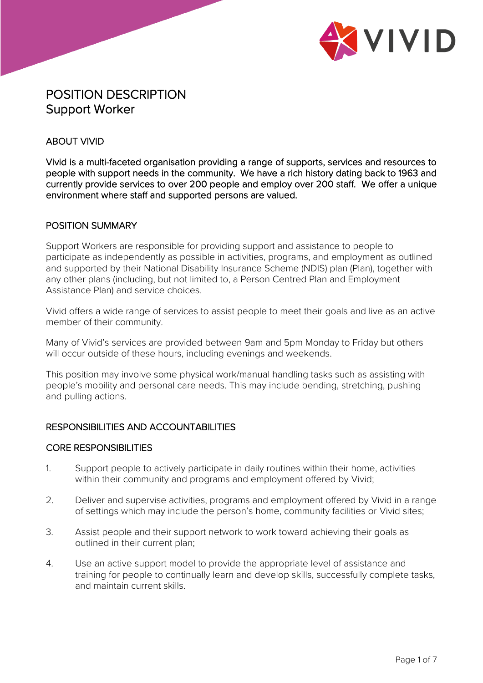

# POSITION DESCRIPTION Support Worker

## ABOUT VIVID

Vivid is a multi-faceted organisation providing a range of supports, services and resources to people with support needs in the community. We have a rich history dating back to 1963 and currently provide services to over 200 people and employ over 200 staff. We offer a unique environment where staff and supported persons are valued.

#### POSITION SUMMARY

Support Workers are responsible for providing support and assistance to people to participate as independently as possible in activities, programs, and employment as outlined and supported by their National Disability Insurance Scheme (NDIS) plan (Plan), together with any other plans (including, but not limited to, a Person Centred Plan and Employment Assistance Plan) and service choices.

Vivid offers a wide range of services to assist people to meet their goals and live as an active member of their community.

Many of Vivid's services are provided between 9am and 5pm Monday to Friday but others will occur outside of these hours, including evenings and weekends.

This position may involve some physical work/manual handling tasks such as assisting with people's mobility and personal care needs. This may include bending, stretching, pushing and pulling actions.

#### RESPONSIBILITIES AND ACCOUNTABILITIES

#### CORE RESPONSIBILITIES

- 1. Support people to actively participate in daily routines within their home, activities within their community and programs and employment offered by Vivid;
- 2. Deliver and supervise activities, programs and employment offered by Vivid in a range of settings which may include the person's home, community facilities or Vivid sites;
- 3. Assist people and their support network to work toward achieving their goals as outlined in their current plan;
- 4. Use an active support model to provide the appropriate level of assistance and training for people to continually learn and develop skills, successfully complete tasks, and maintain current skills.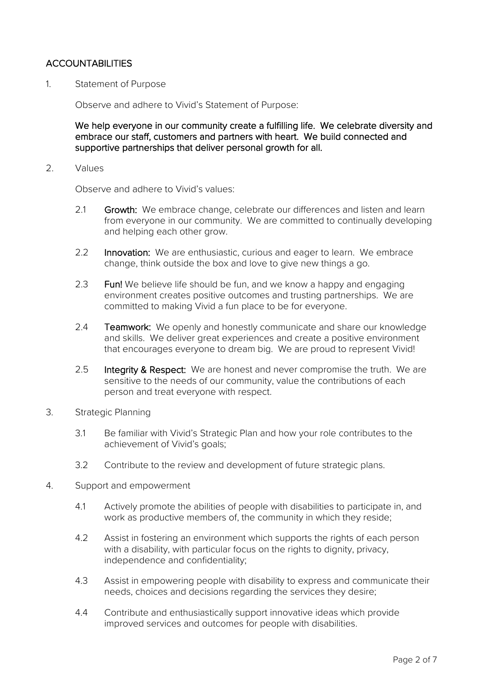# **ACCOUNTABILITIES**

1. Statement of Purpose

Observe and adhere to Vivid's Statement of Purpose:

We help everyone in our community create a fulfilling life. We celebrate diversity and embrace our staff, customers and partners with heart. We build connected and supportive partnerships that deliver personal growth for all.

2. Values

Observe and adhere to Vivid's values:

- 2.1 Growth: We embrace change, celebrate our differences and listen and learn from everyone in our community. We are committed to continually developing and helping each other grow.
- 2.2 Innovation: We are enthusiastic, curious and eager to learn. We embrace change, think outside the box and love to give new things a go.
- 2.3 Fun! We believe life should be fun, and we know a happy and engaging environment creates positive outcomes and trusting partnerships. We are committed to making Vivid a fun place to be for everyone.
- 2.4 **Teamwork:** We openly and honestly communicate and share our knowledge and skills. We deliver great experiences and create a positive environment that encourages everyone to dream big. We are proud to represent Vivid!
- 2.5 Integrity & Respect: We are honest and never compromise the truth. We are sensitive to the needs of our community, value the contributions of each person and treat everyone with respect.
- 3. Strategic Planning
	- 3.1 Be familiar with Vivid's Strategic Plan and how your role contributes to the achievement of Vivid's goals;
	- 3.2 Contribute to the review and development of future strategic plans.
- 4. Support and empowerment
	- 4.1 Actively promote the abilities of people with disabilities to participate in, and work as productive members of, the community in which they reside;
	- 4.2 Assist in fostering an environment which supports the rights of each person with a disability, with particular focus on the rights to dignity, privacy, independence and confidentiality;
	- 4.3 Assist in empowering people with disability to express and communicate their needs, choices and decisions regarding the services they desire;
	- 4.4 Contribute and enthusiastically support innovative ideas which provide improved services and outcomes for people with disabilities.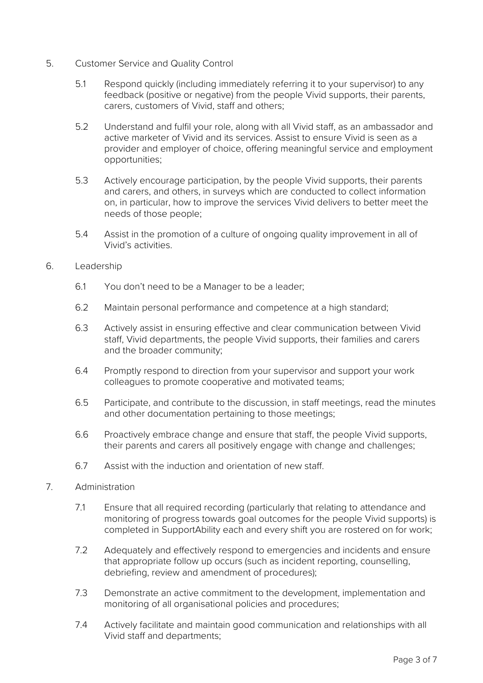- 5. Customer Service and Quality Control
	- 5.1 Respond quickly (including immediately referring it to your supervisor) to any feedback (positive or negative) from the people Vivid supports, their parents, carers, customers of Vivid, staff and others;
	- 5.2 Understand and fulfil your role, along with all Vivid staff, as an ambassador and active marketer of Vivid and its services. Assist to ensure Vivid is seen as a provider and employer of choice, offering meaningful service and employment opportunities;
	- 5.3 Actively encourage participation, by the people Vivid supports, their parents and carers, and others, in surveys which are conducted to collect information on, in particular, how to improve the services Vivid delivers to better meet the needs of those people;
	- 5.4 Assist in the promotion of a culture of ongoing quality improvement in all of Vivid's activities.
- 6. Leadership
	- 6.1 You don't need to be a Manager to be a leader;
	- 6.2 Maintain personal performance and competence at a high standard;
	- 6.3 Actively assist in ensuring effective and clear communication between Vivid staff, Vivid departments, the people Vivid supports, their families and carers and the broader community;
	- 6.4 Promptly respond to direction from your supervisor and support your work colleagues to promote cooperative and motivated teams;
	- 6.5 Participate, and contribute to the discussion, in staff meetings, read the minutes and other documentation pertaining to those meetings;
	- 6.6 Proactively embrace change and ensure that staff, the people Vivid supports, their parents and carers all positively engage with change and challenges;
	- 6.7 Assist with the induction and orientation of new staff.
- 7. Administration
	- 7.1 Ensure that all required recording (particularly that relating to attendance and monitoring of progress towards goal outcomes for the people Vivid supports) is completed in SupportAbility each and every shift you are rostered on for work;
	- 7.2 Adequately and effectively respond to emergencies and incidents and ensure that appropriate follow up occurs (such as incident reporting, counselling, debriefing, review and amendment of procedures);
	- 7.3 Demonstrate an active commitment to the development, implementation and monitoring of all organisational policies and procedures;
	- 7.4 Actively facilitate and maintain good communication and relationships with all Vivid staff and departments;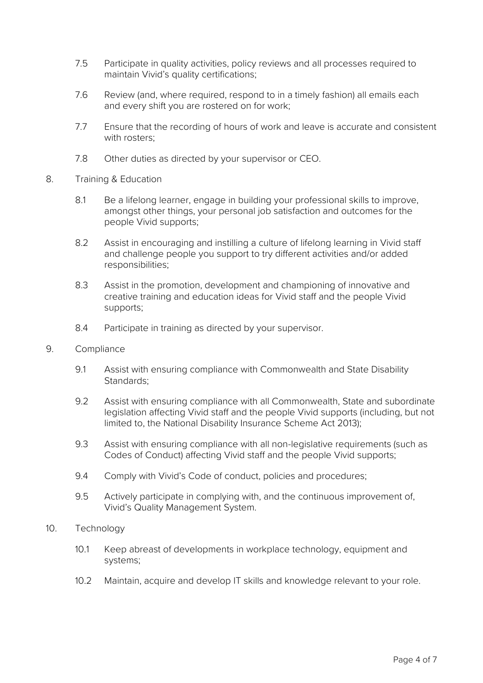- 7.5 Participate in quality activities, policy reviews and all processes required to maintain Vivid's quality certifications;
- 7.6 Review (and, where required, respond to in a timely fashion) all emails each and every shift you are rostered on for work;
- 7.7 Ensure that the recording of hours of work and leave is accurate and consistent with rosters;
- 7.8 Other duties as directed by your supervisor or CEO.
- 8. Training & Education
	- 8.1 Be a lifelong learner, engage in building your professional skills to improve, amongst other things, your personal job satisfaction and outcomes for the people Vivid supports;
	- 8.2 Assist in encouraging and instilling a culture of lifelong learning in Vivid staff and challenge people you support to try different activities and/or added responsibilities;
	- 8.3 Assist in the promotion, development and championing of innovative and creative training and education ideas for Vivid staff and the people Vivid supports;
	- 8.4 Participate in training as directed by your supervisor.
- 9. Compliance
	- 9.1 Assist with ensuring compliance with Commonwealth and State Disability Standards;
	- 9.2 Assist with ensuring compliance with all Commonwealth, State and subordinate legislation affecting Vivid staff and the people Vivid supports (including, but not limited to, the National Disability Insurance Scheme Act 2013);
	- 9.3 Assist with ensuring compliance with all non-legislative requirements (such as Codes of Conduct) affecting Vivid staff and the people Vivid supports;
	- 9.4 Comply with Vivid's Code of conduct, policies and procedures;
	- 9.5 Actively participate in complying with, and the continuous improvement of, Vivid's Quality Management System.
- 10. Technology
	- 10.1 Keep abreast of developments in workplace technology, equipment and systems;
	- 10.2 Maintain, acquire and develop IT skills and knowledge relevant to your role.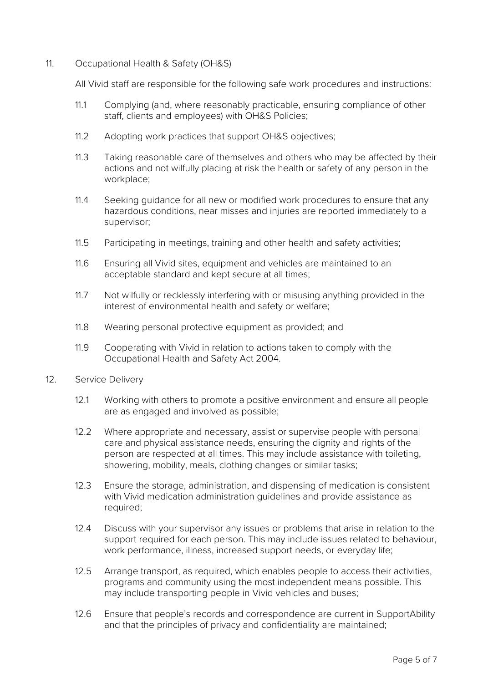11. Occupational Health & Safety (OH&S)

All Vivid staff are responsible for the following safe work procedures and instructions:

- 11.1 Complying (and, where reasonably practicable, ensuring compliance of other staff, clients and employees) with OH&S Policies;
- 11.2 Adopting work practices that support OH&S objectives;
- 11.3 Taking reasonable care of themselves and others who may be affected by their actions and not wilfully placing at risk the health or safety of any person in the workplace;
- 11.4 Seeking guidance for all new or modified work procedures to ensure that any hazardous conditions, near misses and injuries are reported immediately to a supervisor;
- 11.5 Participating in meetings, training and other health and safety activities;
- 11.6 Ensuring all Vivid sites, equipment and vehicles are maintained to an acceptable standard and kept secure at all times;
- 11.7 Not wilfully or recklessly interfering with or misusing anything provided in the interest of environmental health and safety or welfare;
- 11.8 Wearing personal protective equipment as provided; and
- 11.9 Cooperating with Vivid in relation to actions taken to comply with the Occupational Health and Safety Act 2004.
- 12. Service Delivery
	- 12.1 Working with others to promote a positive environment and ensure all people are as engaged and involved as possible;
	- 12.2 Where appropriate and necessary, assist or supervise people with personal care and physical assistance needs, ensuring the dignity and rights of the person are respected at all times. This may include assistance with toileting, showering, mobility, meals, clothing changes or similar tasks;
	- 12.3 Ensure the storage, administration, and dispensing of medication is consistent with Vivid medication administration guidelines and provide assistance as required;
	- 12.4 Discuss with your supervisor any issues or problems that arise in relation to the support required for each person. This may include issues related to behaviour, work performance, illness, increased support needs, or everyday life;
	- 12.5 Arrange transport, as required, which enables people to access their activities, programs and community using the most independent means possible. This may include transporting people in Vivid vehicles and buses;
	- 12.6 Ensure that people's records and correspondence are current in SupportAbility and that the principles of privacy and confidentiality are maintained;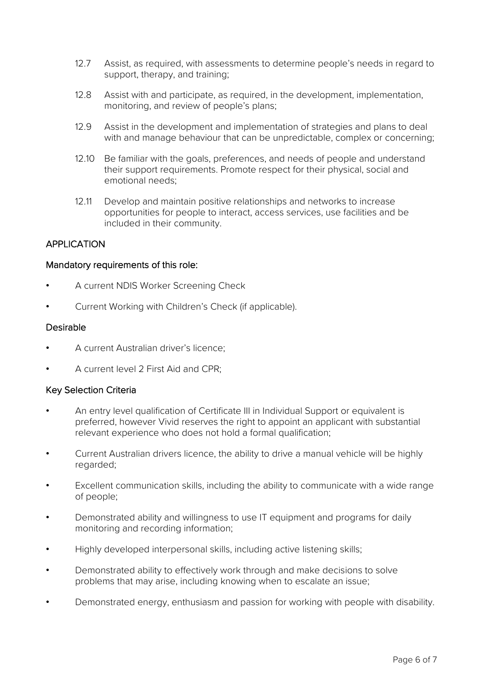- 12.7 Assist, as required, with assessments to determine people's needs in regard to support, therapy, and training;
- 12.8 Assist with and participate, as required, in the development, implementation, monitoring, and review of people's plans;
- 12.9 Assist in the development and implementation of strategies and plans to deal with and manage behaviour that can be unpredictable, complex or concerning;
- 12.10 Be familiar with the goals, preferences, and needs of people and understand their support requirements. Promote respect for their physical, social and emotional needs;
- 12.11 Develop and maintain positive relationships and networks to increase opportunities for people to interact, access services, use facilities and be included in their community.

## APPLICATION

## Mandatory requirements of this role:

- A current NDIS Worker Screening Check
- Current Working with Children's Check (if applicable).

#### Desirable

- A current Australian driver's licence;
- A current level 2 First Aid and CPR;

## Key Selection Criteria

- An entry level qualification of Certificate III in Individual Support or equivalent is preferred, however Vivid reserves the right to appoint an applicant with substantial relevant experience who does not hold a formal qualification;
- Current Australian drivers licence, the ability to drive a manual vehicle will be highly regarded;
- Excellent communication skills, including the ability to communicate with a wide range of people;
- Demonstrated ability and willingness to use IT equipment and programs for daily monitoring and recording information;
- Highly developed interpersonal skills, including active listening skills;
- Demonstrated ability to effectively work through and make decisions to solve problems that may arise, including knowing when to escalate an issue;
- Demonstrated energy, enthusiasm and passion for working with people with disability.